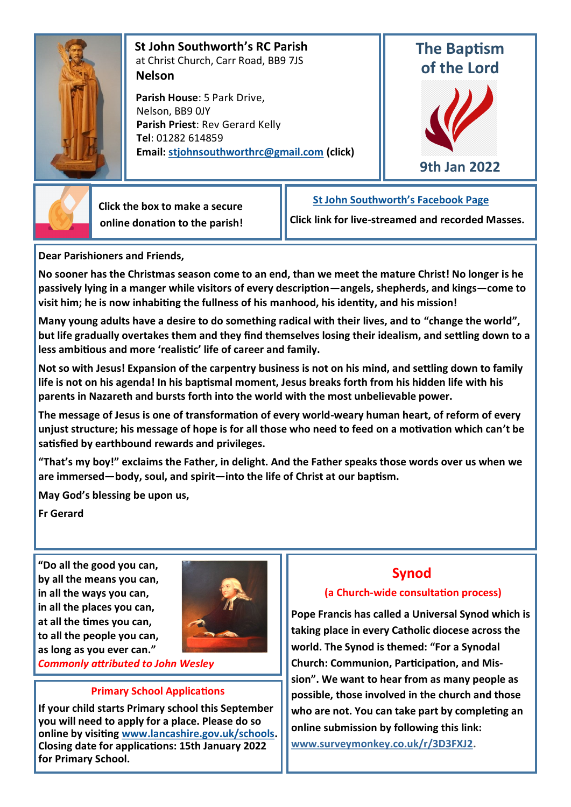

 **St John Southworth's RC Parish** at Christ Church, Carr Road, BB9 7JS **Nelson**

 **Parish House**: 5 Park Drive, Nelson, BB9 0JY **Parish Priest**: Rev Gerard Kelly **Tel**: 01282 614859 **Email: [stjohnsouthworthrc@gmail.com](mailto:stjohnsouthworth@gmail.com) (click)**

# **The Baptism of the Lord**





 **Click the box to make a secure online donation to the parish!**

## **[St John Southworth's Facebook Page](https://www.facebook.com/Parish-of-St-John-Southworth-in-Nelson-105718084323986)**

**Click link for live-streamed and recorded Masses.**

**Dear Parishioners and Friends,**

**No sooner has the Christmas season come to an end, than we meet the mature Christ! No longer is he passively lying in a manger while visitors of every description—angels, shepherds, and kings—come to visit him; he is now inhabiting the fullness of his manhood, his identity, and his mission!** 

**Many young adults have a desire to do something radical with their lives, and to "change the world", but life gradually overtakes them and they find themselves losing their idealism, and settling down to a less ambitious and more 'realistic' life of career and family.** 

**Not so with Jesus! Expansion of the carpentry business is not on his mind, and settling down to family life is not on his agenda! In his baptismal moment, Jesus breaks forth from his hidden life with his parents in Nazareth and bursts forth into the world with the most unbelievable power.** 

**The message of Jesus is one of transformation of every world-weary human heart, of reform of every unjust structure; his message of hope is for all those who need to feed on a motivation which can't be satisfied by earthbound rewards and privileges.** 

**"That's my boy!" exclaims the Father, in delight. And the Father speaks those words over us when we are immersed—body, soul, and spirit—into the life of Christ at our baptism.**

**May God's blessing be upon us,**

**Fr Gerard**

**"Do all the good you can, by all the means you can, in all the ways you can, in all the places you can, at all the times you can, to all the people you can, as long as you ever can."**



*Commonly attributed to John Wesley*

#### **Primary School Applications**

**If your child starts Primary school this September you will need to apply for a place. Please do so online by visiting [www.lancashire.gov.uk/schools.](http://www.lancashire.gov.uk/schools)  Closing date for applications: 15th January 2022 for Primary School.**

## **Synod**

### **(a Church-wide consultation process)**

**Pope Francis has called a Universal Synod which is taking place in every Catholic diocese across the world. The Synod is themed: "For a Synodal Church: Communion, Participation, and Mission". We want to hear from as many people as possible, those involved in the church and those who are not. You can take part by completing an online submission by following this link: [www.surveymonkey.co.uk/r/3D3FXJ2.](https://gbr01.safelinks.protection.outlook.com/?url=https%3A%2F%2Fdioceseofsalford.us6.list-manage.com%2Ftrack%2Fclick%3Fu%3D76e219dab8653b775ba8aac4c%26id%3Df1b7f1a55f%26e%3Dd7934f34b6&data=04%7C01%7CGerard.Kelly%40dioceseofsalford.org.uk%7Cd7241596fd864a3d5)**